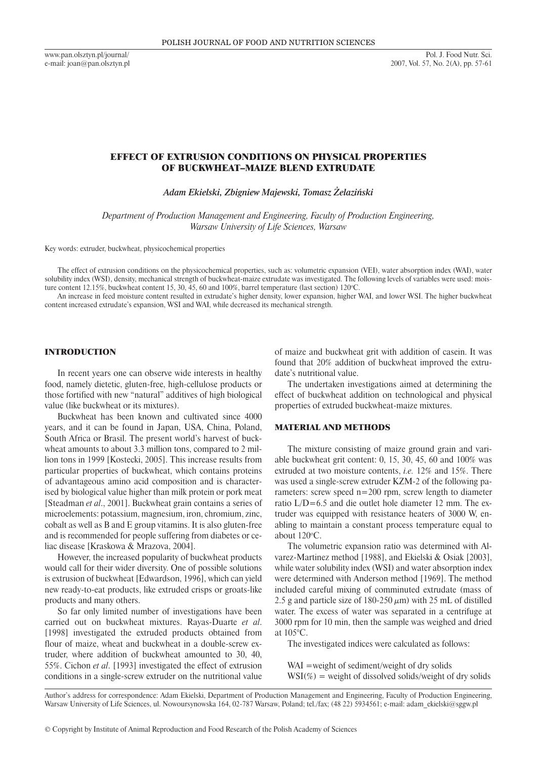www.pan.olsztyn.pl/journal/ e-mail: joan@pan.olsztyn.pl

# Effect of Extrusion Conditions on Physical Properties of Buckwheat–Maize Blend Extrudate

*Adam Ekielski, Zbigniew Majewski, Tomasz Żelaziński*

*Department of Production Management and Engineering, Faculty of Production Engineering, Warsaw University of Life Sciences, Warsaw*

Key words: extruder, buckwheat, physicochemical properties

The effect of extrusion conditions on the physicochemical properties, such as: volumetric expansion (VEI), water absorption index (WAI), water solubility index (WSI), density, mechanical strength of buckwheat-maize extrudate was investigated. The following levels of variables were used: moisture content 12.15%, buckwheat content 15, 30, 45, 60 and 100%, barrel temperature (last section) 120 °C.

An increase in feed moisture content resulted in extrudate's higher density, lower expansion, higher WAI, and lower WSI. The higher buckwheat content increased extrudate's expansion, WSI and WAI, while decreased its mechanical strength.

### INTRODUCTION

In recent years one can observe wide interests in healthy food, namely dietetic, gluten-free, high-cellulose products or those fortified with new "natural" additives of high biological value (like buckwheat or its mixtures).

Buckwheat has been known and cultivated since 4000 years, and it can be found in Japan, USA, China, Poland, South Africa or Brasil. The present world's harvest of buckwheat amounts to about 3.3 million tons, compared to 2 million tons in 1999 [Kostecki, 2005]. This increase results from particular properties of buckwheat, which contains proteins of advantageous amino acid composition and is characterised by biological value higher than milk protein or pork meat [Steadman *et al*., 2001]. Buckwheat grain contains a series of microelements: potassium, magnesium, iron, chromium, zinc, cobalt as well as B and E group vitamins. It is also gluten-free and is recommended for people suffering from diabetes or celiac disease [Kraskowa & Mrazova, 2004].

However, the increased popularity of buckwheat products would call for their wider diversity. One of possible solutions is extrusion of buckwheat [Edwardson, 1996], which can yield new ready-to-eat products, like extruded crisps or groats-like products and many others.

So far only limited number of investigations have been carried out on buckwheat mixtures. Rayas-Duarte *et al*. [1998] investigated the extruded products obtained from flour of maize, wheat and buckwheat in a double-screw extruder, where addition of buckwheat amounted to 30, 40, 55%. Cichon *et al*. [1993] investigated the effect of extrusion conditions in a single-screw extruder on the nutritional value of maize and buckwheat grit with addition of casein. It was found that 20% addition of buckwheat improved the extrudate's nutritional value.

The undertaken investigations aimed at determining the effect of buckwheat addition on technological and physical properties of extruded buckwheat-maize mixtures.

#### MATERIAL AND METHODS

The mixture consisting of maize ground grain and variable buckwheat grit content: 0, 15, 30, 45, 60 and 100% was extruded at two moisture contents, *i.e.* 12% and 15%. There was used a single-screw extruder KZM-2 of the following parameters: screw speed  $n=200$  rpm, screw length to diameter ratio L/D=6.5 and die outlet hole diameter 12 mm. The extruder was equipped with resistance heaters of 3000 W, enabling to maintain a constant process temperature equal to about  $120^{\circ}$ C.

The volumetric expansion ratio was determined with Alvarez-Martinez method [1988], and Ekielski & Osiak [2003], while water solubility index (WSI) and water absorption index were determined with Anderson method [1969]. The method included careful mixing of comminuted extrudate (mass of 2.5 g and particle size of 180-250  $\mu$ m) with 25 mL of distilled water. The excess of water was separated in a centrifuge at 3000 rpm for 10 min, then the sample was weighed and dried at 105°C.

The investigated indices were calculated as follows:

WAI =weight of sediment/weight of dry solids  $WSI(\%)$  = weight of dissolved solids/weight of dry solids

Author's address for correspondence: Adam Ekielski, Department of Production Management and Engineering, Faculty of Production Engineering, Warsaw University of Life Sciences, ul. Nowoursynowska 164, 02-787 Warsaw, Poland; tel./fax; (48 22) 5934561; e-mail: adam\_ekielski@sggw.pl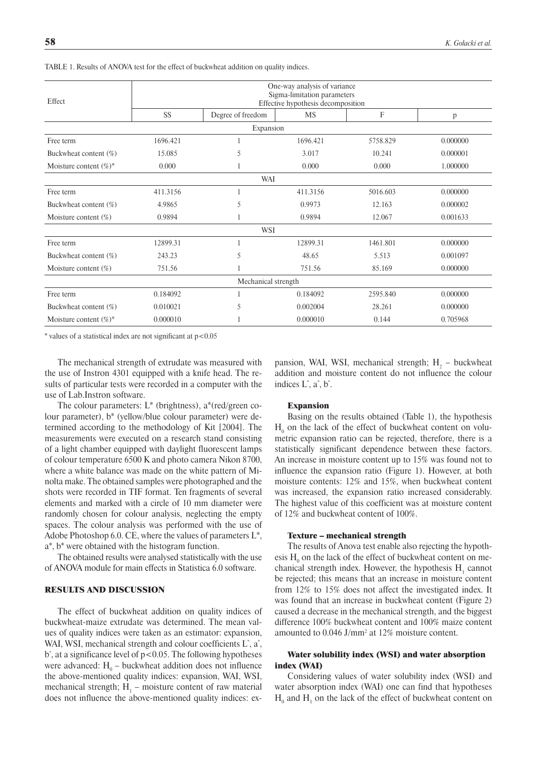| Effect                    | One-way analysis of variance<br>Sigma-limitation parameters<br>Effective hypothesis decomposition |                   |           |          |          |  |  |  |  |  |
|---------------------------|---------------------------------------------------------------------------------------------------|-------------------|-----------|----------|----------|--|--|--|--|--|
|                           | <b>SS</b>                                                                                         | Degree of freedom | <b>MS</b> | F        | p        |  |  |  |  |  |
| Expansion                 |                                                                                                   |                   |           |          |          |  |  |  |  |  |
| Free term                 | 1696.421                                                                                          |                   | 1696.421  | 5758.829 | 0.000000 |  |  |  |  |  |
| Buckwheat content (%)     | 15.085                                                                                            | 5<br>3.017        |           | 10.241   | 0.000001 |  |  |  |  |  |
| Moisture content $(\%)^*$ | 0.000                                                                                             |                   | 0.000     | 0.000    | 1.000000 |  |  |  |  |  |
| WAI                       |                                                                                                   |                   |           |          |          |  |  |  |  |  |
| Free term                 | 411.3156                                                                                          | 1                 | 411.3156  | 5016.603 | 0.000000 |  |  |  |  |  |
| Buckwheat content (%)     | 4.9865                                                                                            | 5                 | 0.9973    | 12.163   | 0.000002 |  |  |  |  |  |
| Moisture content $(\%)$   | 0.9894                                                                                            |                   | 0.9894    | 12.067   | 0.001633 |  |  |  |  |  |
| WSI                       |                                                                                                   |                   |           |          |          |  |  |  |  |  |
| Free term                 | 12899.31                                                                                          |                   | 12899.31  | 1461.801 | 0.000000 |  |  |  |  |  |
| Buckwheat content (%)     | 243.23                                                                                            | 5                 | 48.65     | 5.513    | 0.001097 |  |  |  |  |  |
| Moisture content $(\%)$   | 751.56                                                                                            |                   | 751.56    | 85.169   | 0.000000 |  |  |  |  |  |
| Mechanical strength       |                                                                                                   |                   |           |          |          |  |  |  |  |  |
| Free term                 | 0.184092                                                                                          |                   | 0.184092  | 2595.840 | 0.000000 |  |  |  |  |  |
| Buckwheat content (%)     | 0.010021                                                                                          | 5                 | 0.002004  | 28.261   | 0.000000 |  |  |  |  |  |
| Moisture content $(\%)^*$ | 0.000010                                                                                          |                   | 0.000010  | 0.144    | 0.705968 |  |  |  |  |  |

Table 1. Results of ANOVA test for the effect of buckwheat addition on quality indices.

\* values of a statistical index are not significant at p<0.05

The mechanical strength of extrudate was measured with the use of Instron 4301 equipped with a knife head. The results of particular tests were recorded in a computer with the use of Lab.Instron software.

The colour parameters:  $L^*$  (brightness),  $a^*$ (red/green colour parameter), b\* (yellow/blue colour parameter) were determined according to the methodology of Kit [2004]. The measurements were executed on a research stand consisting of a light chamber equipped with daylight fluorescent lamps of colour temperature 6500 K and photo camera Nikon 8700, where a white balance was made on the white pattern of Minolta make. The obtained samples were photographed and the shots were recorded in TIF format. Ten fragments of several elements and marked with a circle of 10 mm diameter were randomly chosen for colour analysis, neglecting the empty spaces. The colour analysis was performed with the use of Adobe Photoshop 6.0. CE, where the values of parameters L\*, a\*, b\* were obtained with the histogram function.

The obtained results were analysed statistically with the use of ANOVA module for main effects in Statistica 6.0 software.

#### RESULTS AND DISCUSSION

The effect of buckwheat addition on quality indices of buckwheat-maize extrudate was determined. The mean values of quality indices were taken as an estimator: expansion, WAI, WSI, mechanical strength and colour coefficients  $L^*$ ,  $a^*$ , b\* , at a significance level of p<0.05. The following hypotheses were advanced:  $H_0$  – buckwheat addition does not influence the above-mentioned quality indices: expansion, WAI, WSI, mechanical strength;  $H_1$  – moisture content of raw material does not influence the above-mentioned quality indices: ex-

pansion, WAI, WSI, mechanical strength;  $H_2$  – buckwheat addition and moisture content do not influence the colour indices  $L^*$ ,  $a^*$ ,  $b^*$ .

#### Expansion

Basing on the results obtained (Table 1), the hypothesis  $H_0$  on the lack of the effect of buckwheat content on volumetric expansion ratio can be rejected, therefore, there is a statistically significant dependence between these factors. An increase in moisture content up to 15% was found not to influence the expansion ratio (Figure 1). However, at both moisture contents: 12% and 15%, when buckwheat content was increased, the expansion ratio increased considerably. The highest value of this coefficient was at moisture content of 12% and buckwheat content of 100%.

#### Texture – mechanical strength

The results of Anova test enable also rejecting the hypothesis  $H_0$  on the lack of the effect of buckwheat content on mechanical strength index. However, the hypothesis  $H_1$  cannot be rejected; this means that an increase in moisture content from 12% to 15% does not affect the investigated index. It was found that an increase in buckwheat content (Figure 2) caused a decrease in the mechanical strength, and the biggest difference 100% buckwheat content and 100% maize content amounted to 0.046 J/mm<sup>2</sup> at 12% moisture content.

### Water solubility index (WSI) and water absorption index (WAI)

Considering values of water solubility index (WSI) and water absorption index (WAI) one can find that hypotheses  $H_0$  and  $H_1$  on the lack of the effect of buckwheat content on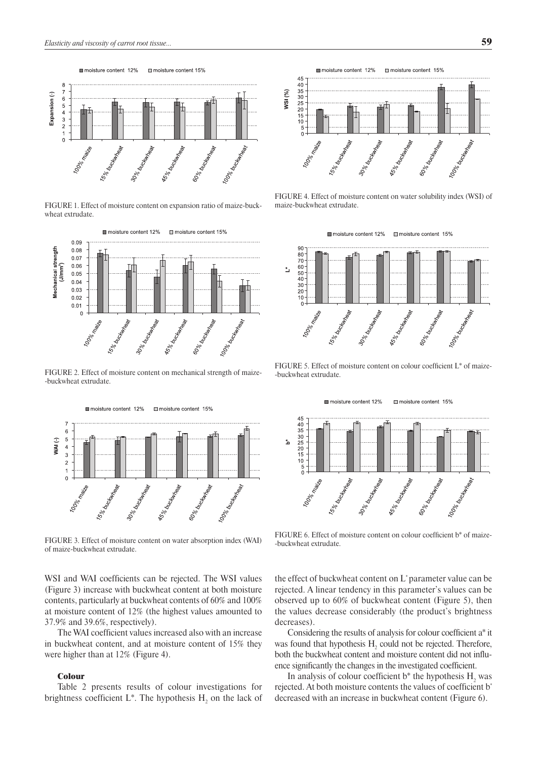

FigURE 1. Effect of moisture content on expansion ratio of maize-buckwheat extrudate.



FigURE 2. Effect of moisture content on mechanical strength of maize- -buckwheat extrudate.



FigURE 3. Effect of moisture content on water absorption index (WAI) of maize-buckwheat extrudate.

WSI and WAI coefficients can be rejected. The WSI values (Figure 3) increase with buckwheat content at both moisture contents, particularly at buckwheat contents of 60% and 100% at moisture content of 12% (the highest values amounted to 37.9% and 39.6%, respectively).

The WAI coefficient values increased also with an increase in buckwheat content, and at moisture content of 15% they were higher than at 12% (Figure 4).

### Colour

Table 2 presents results of colour investigations for brightness coefficient  $L^*$ . The hypothesis  $H_2$  on the lack of



FIGURE 4. Effect of moisture content on water solubility index (WSI) of maize-buckwheat extrudate.

moisture content 12% m moisture content 15%



FigURE 5. Effect of moisture content on colour coefficient L\* of maize- -buckwheat extrudate.



FigURE 6. Effect of moisture content on colour coefficient b\* of maize- -buckwheat extrudate.

the effect of buckwheat content on L\* parameter value can be rejected. A linear tendency in this parameter's values can be observed up to 60% of buckwheat content (Figure 5), then the values decrease considerably (the product's brightness decreases).

Considering the results of analysis for colour coefficient a\* it was found that hypothesis  $H_2$  could not be rejected. Therefore, both the buckwheat content and moisture content did not influence significantly the changes in the investigated coefficient.

In analysis of colour coefficient  $b^*$  the hypothesis  $H_2$  was rejected. At both moisture contents the values of coefficient b\* decreased with an increase in buckwheat content (Figure 6).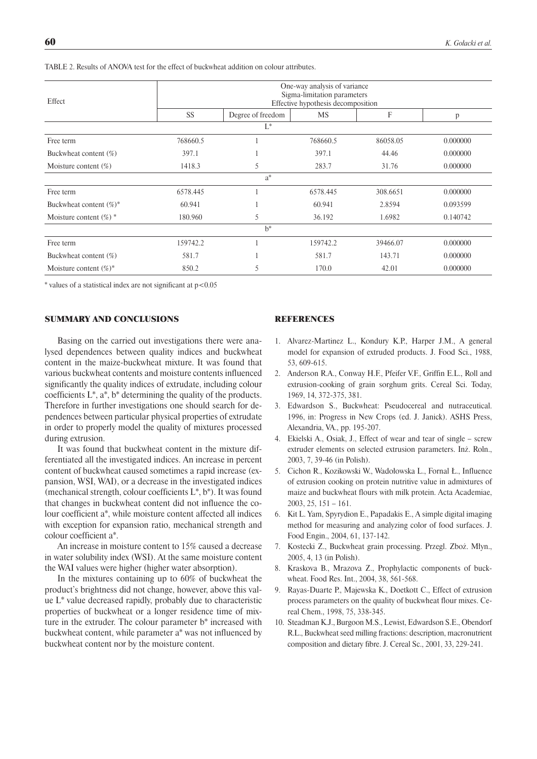| Effect                     | One-way analysis of variance<br>Sigma-limitation parameters<br>Effective hypothesis decomposition |                   |           |          |          |  |  |
|----------------------------|---------------------------------------------------------------------------------------------------|-------------------|-----------|----------|----------|--|--|
|                            | <b>SS</b>                                                                                         | Degree of freedom | <b>MS</b> | F        | p        |  |  |
|                            |                                                                                                   | $L^*$             |           |          |          |  |  |
| Free term                  | 768660.5                                                                                          |                   | 768660.5  | 86058.05 | 0.000000 |  |  |
| Buckwheat content (%)      | 397.1                                                                                             |                   | 397.1     | 44.46    | 0.000000 |  |  |
| Moisture content $(\%)$    | 1418.3                                                                                            | 5                 | 283.7     | 31.76    | 0.000000 |  |  |
|                            |                                                                                                   | $a^*$             |           |          |          |  |  |
| Free term                  | 6578.445                                                                                          |                   | 6578.445  | 308.6651 | 0.000000 |  |  |
| Buckwheat content $(\%)^*$ | 60.941                                                                                            |                   | 60.941    | 2.8594   | 0.093599 |  |  |
| Moisture content $(\%)$ *  | 180.960                                                                                           | 5                 | 36.192    | 1.6982   | 0.140742 |  |  |
|                            |                                                                                                   | $h^*$             |           |          |          |  |  |
| Free term                  | 159742.2                                                                                          |                   | 159742.2  | 39466.07 | 0.000000 |  |  |
| Buckwheat content (%)      | 581.7                                                                                             |                   | 581.7     | 143.71   | 0.000000 |  |  |
| Moisture content $(\%)^*$  | 850.2                                                                                             | 5                 | 170.0     | 42.01    | 0.000000 |  |  |

Table 2. Results of ANOVA test for the effect of buckwheat addition on colour attributes.

 $*$  values of a statistical index are not significant at  $p < 0.05$ 

#### SUMMARY AND CONCLUSIONS

Basing on the carried out investigations there were analysed dependences between quality indices and buckwheat content in the maize-buckwheat mixture. It was found that various buckwheat contents and moisture contents influenced significantly the quality indices of extrudate, including colour coefficients  $L^*$ ,  $a^*$ ,  $b^*$  determining the quality of the products. Therefore in further investigations one should search for dependences between particular physical properties of extrudate in order to properly model the quality of mixtures processed during extrusion.

It was found that buckwheat content in the mixture differentiated all the investigated indices. An increase in percent content of buckwheat caused sometimes a rapid increase (expansion, WSI, WAI), or a decrease in the investigated indices (mechanical strength, colour coefficients L\*, b\*). It was found that changes in buckwheat content did not influence the colour coefficient a\*, while moisture content affected all indices with exception for expansion ratio, mechanical strength and colour coefficient a\*.

An increase in moisture content to 15% caused a decrease in water solubility index (WSI). At the same moisture content the WAI values were higher (higher water absorption).

In the mixtures containing up to 60% of buckwheat the product's brightness did not change, however, above this value L\* value decreased rapidly, probably due to characteristic properties of buckwheat or a longer residence time of mixture in the extruder. The colour parameter b\* increased with buckwheat content, while parameter a\* was not influenced by buckwheat content nor by the moisture content.

# **REFERENCES**

- 1. Alvarez-Martinez L., Kondury K.P., Harper J.M., A general model for expansion of extruded products. J. Food Sci., 1988, 53, 609-615.
- 2. Anderson R.A., Conway H.F., Pfeifer V.F., Griffin E.L., Roll and extrusion-cooking of grain sorghum grits. Cereal Sci. Today, 1969, 14, 372-375, 381.
- 3. Edwardson S., Buckwheat: Pseudocereal and nutraceutical. 1996, in: Progress in New Crops (ed. J. Janick). ASHS Press, Alexandria, VA., pp. 195-207.
- 4. Ekielski A., Osiak, J., Effect of wear and tear of single screw extruder elements on selected extrusion parameters. Inż. Roln., 2003, 7, 39-46 (in Polish).
- 5. Cichon R., Kozikowski W., Wadołowska L., Fornal Ł., Influence of extrusion cooking on protein nutritive value in admixtures of maize and buckwheat flours with milk protein. Acta Academiae, 2003, 25, 151 – 161.
- 6. Kit L. Yam, Spyrydion E., Papadakis E., A simple digital imaging method for measuring and analyzing color of food surfaces. J. Food Engin., 2004, 61, 137-142.
- 7. Kostecki Z., Buckwheat grain processing. Przegl. Zboż. Młyn., 2005, 4, 13 (in Polish).
- 8. Kraskova B., Mrazova Z., Prophylactic components of buckwheat. Food Res. Int., 2004, 38, 561-568.
- 9. Rayas-Duarte P., Majewska K., Doetkott C., Effect of extrusion process parameters on the quality of buckwheat flour mixes. Cereal Chem., 1998, 75, 338-345.
- 10. Steadman K.J., Burgoon M.S., Lewist, Edwardson S.E., Obendorf R.L., Buckwheat seed milling fractions: description, macronutrient composition and dietary fibre. J. Cereal Sc., 2001, 33, 229-241.